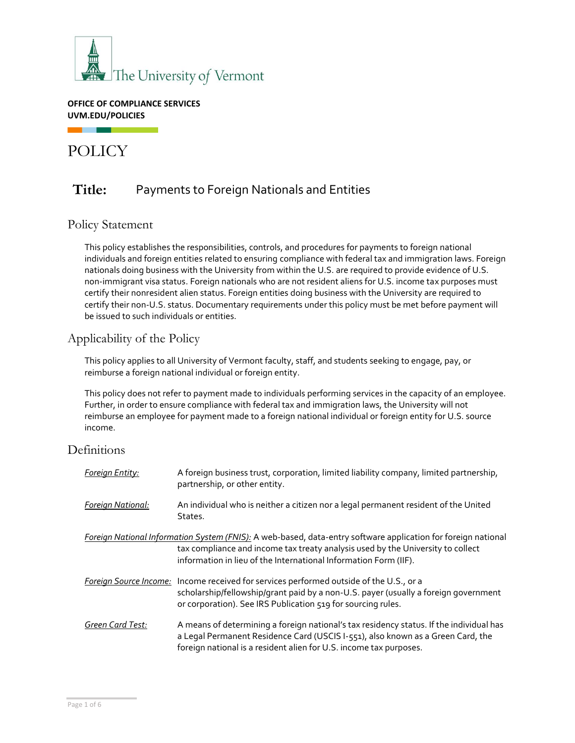

**OFFICE OF COMPLIANCE SERVICES UVM.EDU/POLICIES**

# POLICY

г

## **Title:** Payments to Foreign Nationals and Entities

### Policy Statement

This policy establishes the responsibilities, controls, and procedures for payments to foreign national individuals and foreign entities related to ensuring compliance with federal tax and immigration laws. Foreign nationals doing business with the University from within the U.S. are required to provide evidence of U.S. non-immigrant visa status. Foreign nationals who are not resident aliens for U.S. income tax purposes must certify their nonresident alien status. Foreign entities doing business with the University are required to certify their non-U.S. status. Documentary requirements under this policy must be met before payment will be issued to such individuals or entities.

### Applicability of the Policy

This policy applies to all University of Vermont faculty, staff, and students seeking to engage, pay, or reimburse a foreign national individual or foreign entity.

This policy does not refer to payment made to individuals performing services in the capacity of an employee. Further, in order to ensure compliance with federal tax and immigration laws, the University will not reimburse an employee for payment made to a foreign national individual or foreign entity for U.S. source income.

### Definitions

| Foreign Entity:           | A foreign business trust, corporation, limited liability company, limited partnership,<br>partnership, or other entity.                                                                                                                                              |
|---------------------------|----------------------------------------------------------------------------------------------------------------------------------------------------------------------------------------------------------------------------------------------------------------------|
| <u> Foreign National:</u> | An individual who is neither a citizen nor a legal permanent resident of the United<br>States.                                                                                                                                                                       |
|                           | Foreign National Information System (FNIS): A web-based, data-entry software application for foreign national<br>tax compliance and income tax treaty analysis used by the University to collect<br>information in lieu of the International Information Form (IIF). |
|                           | Foreign Source Income: Income received for services performed outside of the U.S., or a<br>scholarship/fellowship/grant paid by a non-U.S. payer (usually a foreign government<br>or corporation). See IRS Publication 519 for sourcing rules.                       |
| Green Card Test:          | A means of determining a foreign national's tax residency status. If the individual has<br>a Legal Permanent Residence Card (USCIS I-551), also known as a Green Card, the<br>foreign national is a resident alien for U.S. income tax purposes.                     |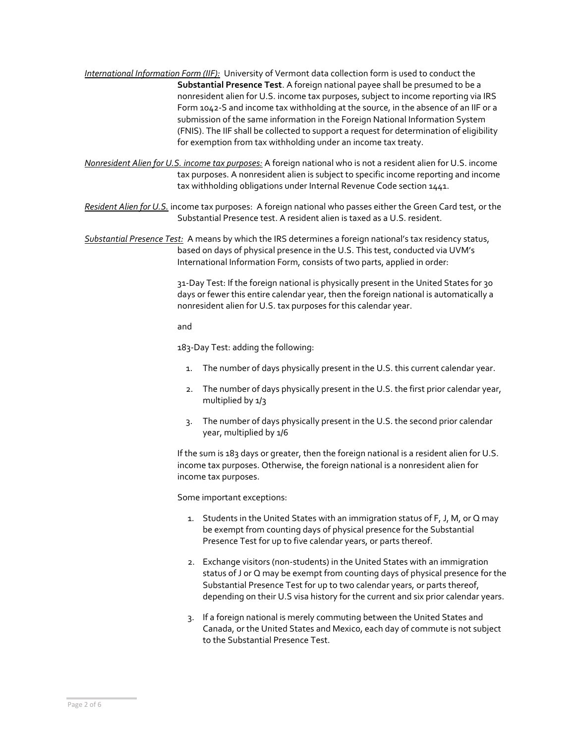*International Information Form (IIF):* University of Vermont data collection form is used to conduct the **Substantial Presence Test**. A foreign national payee shall be presumed to be a nonresident alien for U.S. income tax purposes, subject to income reporting via IRS Form 1042-S and income tax withholding at the source, in the absence of an IIF or a submission of the same information in the Foreign National Information System (FNIS). The IIF shall be collected to support a request for determination of eligibility for exemption from tax withholding under an income tax treaty.

*Nonresident Alien for U.S. income tax purposes:* A foreign national who is not a resident alien for U.S. income tax purposes. A nonresident alien is subject to specific income reporting and income tax withholding obligations under Internal Revenue Code section 1441.

*Resident Alien for U.S.* income tax purposes: A foreign national who passes either the Green Card test, or the Substantial Presence test. A resident alien is taxed as a U.S. resident.

*Substantial Presence Test:* A means by which the IRS determines a foreign national's tax residency status, based on days of physical presence in the U.S. This test, conducted via UVM's International Information Form, consists of two parts, applied in order:

> 31-Day Test: If the foreign national is physically present in the United States for 30 days or fewer this entire calendar year, then the foreign national is automatically a nonresident alien for U.S. tax purposes for this calendar year.

and

183-Day Test: adding the following:

- 1. The number of days physically present in the U.S. this current calendar year.
- 2. The number of days physically present in the U.S. the first prior calendar year, multiplied by 1/3
- 3. The number of days physically present in the U.S. the second prior calendar year, multiplied by 1/6

If the sum is 183 days or greater, then the foreign national is a resident alien for U.S. income tax purposes. Otherwise, the foreign national is a nonresident alien for income tax purposes.

Some important exceptions:

- 1. Students in the United States with an immigration status of F, J, M, or Q may be exempt from counting days of physical presence for the Substantial Presence Test for up to five calendar years, or parts thereof.
- 2. Exchange visitors (non-students) in the United States with an immigration status of J or Q may be exempt from counting days of physical presence for the Substantial Presence Test for up to two calendar years, or parts thereof, depending on their U.S visa history for the current and six prior calendar years.
- 3. If a foreign national is merely commuting between the United States and Canada, or the United States and Mexico, each day of commute is not subject to the Substantial Presence Test.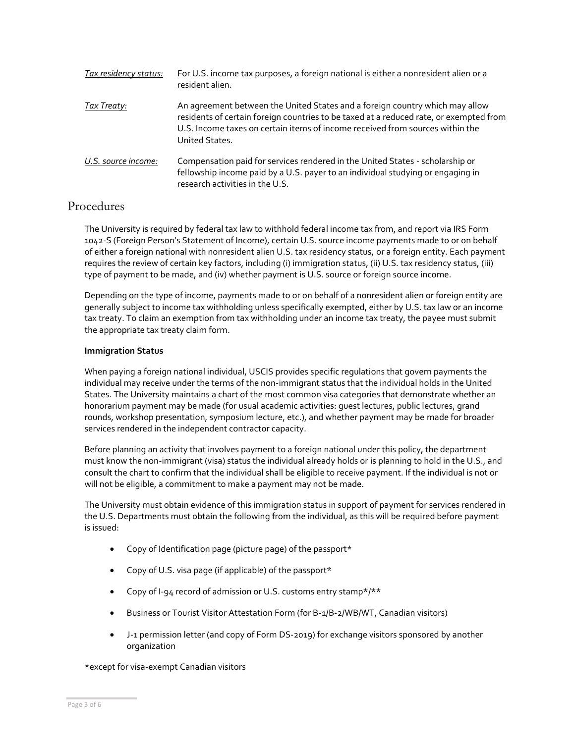| Tax residency status: | For U.S. income tax purposes, a foreign national is either a nonresident alien or a<br>resident alien.                                                                                                                                                                    |
|-----------------------|---------------------------------------------------------------------------------------------------------------------------------------------------------------------------------------------------------------------------------------------------------------------------|
| <u>Tax Treaty:</u>    | An agreement between the United States and a foreign country which may allow<br>residents of certain foreign countries to be taxed at a reduced rate, or exempted from<br>U.S. Income taxes on certain items of income received from sources within the<br>United States. |
| U.S. source income:   | Compensation paid for services rendered in the United States - scholarship or<br>fellowship income paid by a U.S. payer to an individual studying or engaging in<br>research activities in the U.S.                                                                       |

### Procedures

The University is required by federal tax law to withhold federal income tax from, and report via IRS Form 1042-S (Foreign Person's Statement of Income), certain U.S. source income payments made to or on behalf of either a foreign national with nonresident alien U.S. tax residency status, or a foreign entity. Each payment requires the review of certain key factors, including (i) immigration status, (ii) U.S. tax residency status, (iii) type of payment to be made, and (iv) whether payment is U.S. source or foreign source income.

Depending on the type of income, payments made to or on behalf of a nonresident alien or foreign entity are generally subject to income tax withholding unless specifically exempted, either by U.S. tax law or an income tax treaty. To claim an exemption from tax withholding under an income tax treaty, the payee must submit the appropriate tax treaty claim form.

#### **Immigration Status**

When paying a foreign national individual, USCIS provides specific regulations that govern payments the individual may receive under the terms of the non-immigrant status that the individual holds in the United States. The University maintains a chart of the [most common visa categories](https://www.uvm.edu/sites/default/files/Division-of-Finance/UserGuides/common_visa_categories.pdf) that demonstrate whether an honorarium payment may be made (for usual academic activities: guest lectures, public lectures, grand rounds, workshop presentation, symposium lecture, etc.), and whether payment may be made for broader services rendered in the independent contractor capacity.

Before planning an activity that involves payment to a foreign national under this policy, the department must know the non-immigrant (visa) status the individual already holds or is planning to hold in the U.S., and consult the chart to confirm that the individual shall be eligible to receive payment. If the individual is not or will not be eligible, a commitment to make a payment may not be made.

The University must obtain evidence of this immigration status in support of payment for services rendered in the U.S. Departments must obtain the following from the individual, as this will be required before payment is issued:

- Copy of Identification page (picture page) of the passport  $*$
- Copy of U.S. visa page (if applicable) of the passport\*
- Copy of I-94 record of admission or U.S. customs entry stamp\*/\*\*
- Business or Tourist Visitor Attestation Form (for B-1/B-2/WB/WT, Canadian visitors)
- J-1 permission letter (and copy of Form DS-2019) for exchange visitors sponsored by another organization

\*except for visa-exempt Canadian visitors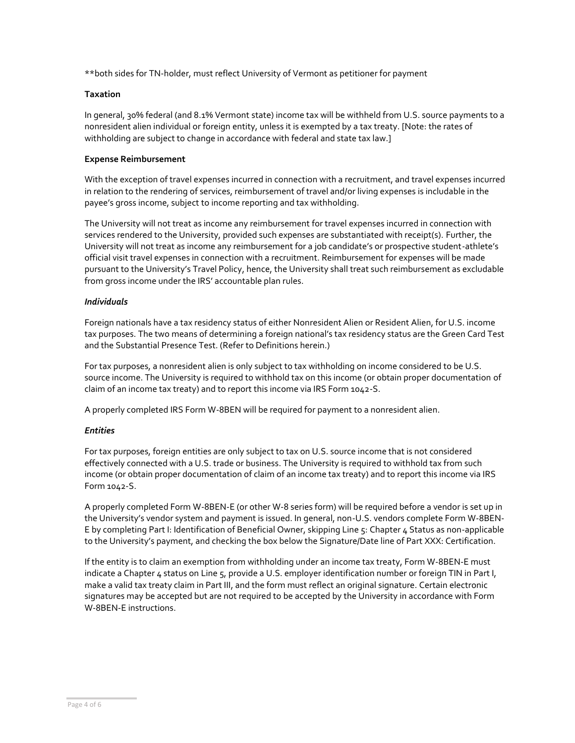\*\*both sides for TN-holder, must reflect University of Vermont as petitioner for payment

#### **Taxation**

In general, 30% federal (and 8.1% Vermont state) income tax will be withheld from U.S. source payments to a nonresident alien individual or foreign entity, unless it is exempted by a tax treaty. [Note: the rates of withholding are subject to change in accordance with federal and state tax law.]

#### **Expense Reimbursement**

With the exception of travel expenses incurred in connection with a recruitment, and travel expenses incurred in relation to the rendering of services, reimbursement of travel and/or living expenses is includable in the payee's gross income, subject to income reporting and tax withholding.

The University will not treat as income any reimbursement for travel expenses incurred in connection with services rendered to the University, provided such expenses are substantiated with receipt(s). Further, the University will not treat as income any reimbursement for a job candidate's or prospective student-athlete's official visit travel expenses in connection with a recruitment. Reimbursement for expenses will be made pursuant to the [University's Travel Policy](https://www.uvm.edu/sites/default/files/UVM-Policies/policies/travel.pdf?t=r60vmy), hence, the University shall treat such reimbursement as excludable from gross income under the IRS' accountable plan rules.

#### *Individuals*

Foreign nationals have a tax residency status of either Nonresident Alien or Resident Alien, for U.S. income tax purposes. The two means of determining a foreign national's tax residency status are the Green Card Test and the Substantial Presence Test. (Refer to Definitions herein.)

For tax purposes, a nonresident alien is only subject to tax withholding on income considered to be U.S. source income. The University is required to withhold tax on this income (or obtain proper documentation of claim of an income tax treaty) and to report this income via IRS Form 1042-S.

A properly completed IRS Form W-8BEN will be required for payment to a nonresident alien.

#### *Entities*

For tax purposes, foreign entities are only subject to tax on U.S. source income that is not considered effectively connected with a U.S. trade or business. The University is required to withhold tax from such income (or obtain proper documentation of claim of an income tax treaty) and to report this income via IRS Form 1042-S.

A properly completed Form W-8BEN-E (or other W-8 series form) will be required before a vendor is set up in the University's vendor system and payment is issued. In general, non-U.S. vendors complete Form W-8BEN-E by completing Part I: Identification of Beneficial Owner, skipping Line 5: Chapter 4 Status as non-applicable to the University's payment, and checking the box below the Signature/Date line of Part XXX: Certification.

If the entity is to claim an exemption from withholding under an income tax treaty, Form W-8BEN-E must indicate a Chapter 4 status on Line 5, provide a U.S. employer identification number or foreign TIN in Part I, make a valid tax treaty claim in Part III, and the form must reflect an original signature. Certain electronic signatures may be accepted but are not required to be accepted by the University in accordance with Form W-8BEN-E instructions.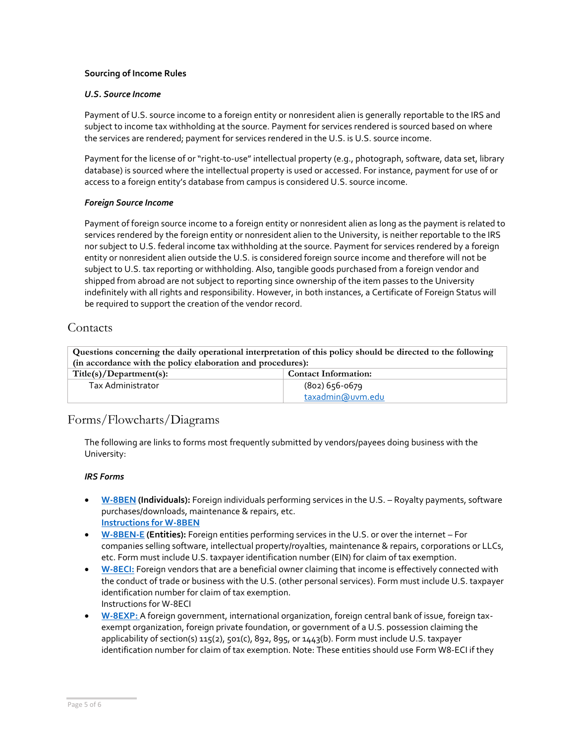#### **Sourcing of Income Rules**

#### *U.S. Source Income*

Payment of U.S. source income to a foreign entity or nonresident alien is generally reportable to the IRS and subject to income tax withholding at the source. Payment for services rendered is sourced based on where the services are rendered; payment for services rendered in the U.S. is U.S. source income.

Payment for the license of or "right-to-use" intellectual property (e.g., photograph, software, data set, library database) is sourced where the intellectual property is used or accessed. For instance, payment for use of or access to a foreign entity's database from campus is considered U.S. source income.

#### *Foreign Source Income*

Payment of foreign source income to a foreign entity or nonresident alien as long as the payment is related to services rendered by the foreign entity or nonresident alien to the University, is neither reportable to the IRS nor subject to U.S. federal income tax withholding at the source. Payment for services rendered by a foreign entity or nonresident alien outside the U.S. is considered foreign source income and therefore will not be subject to U.S. tax reporting or withholding. Also, tangible goods purchased from a foreign vendor and shipped from abroad are not subject to reporting since ownership of the item passes to the University indefinitely with all rights and responsibility. However, in both instances, a Certificate of Foreign Status will be required to support the creation of the vendor record.

### **Contacts**

| Questions concerning the daily operational interpretation of this policy should be directed to the following |                             |  |  |  |
|--------------------------------------------------------------------------------------------------------------|-----------------------------|--|--|--|
| (in accordance with the policy elaboration and procedures):                                                  |                             |  |  |  |
| Title(s)/Department(s):                                                                                      | <b>Contact Information:</b> |  |  |  |
| Tax Administrator                                                                                            | (802) 656-0679              |  |  |  |
|                                                                                                              | taxadmin@uvm.edu            |  |  |  |

### Forms/Flowcharts/Diagrams

The following are links to forms most frequently submitted by vendors/payees doing business with the University:

#### *IRS Forms*

- **[W-8BEN](https://www.irs.gov/pub/irs-pdf/fw8ben.pdf) (Individuals):** Foreign individuals performing services in the U.S. Royalty payments, software purchases/downloads, maintenance & repairs, etc. **[Instructions for W-8BEN](https://www.irs.gov/pub/irs-pdf/iw8ben.pdf)**
- **[W-8BEN-E](https://www.irs.gov/pub/irs-pdf/fw8bene.pdf) (Entities):** Foreign entities performing services in the U.S. or over the internet For companies selling software, intellectual property/royalties, maintenance & repairs, corporations or LLCs, etc. Form must include U.S. taxpayer identification number (EIN) for claim of tax exemption.
- **[W-8ECI:](https://www.irs.gov/pub/irs-pdf/fw8eci.pdf)** Foreign vendors that are a beneficial owner claiming that income is effectively connected with the conduct of trade or business with the U.S. (other personal services). Form must include U.S. taxpayer identification number for claim of tax exemption. [Instructions for W-8ECI](https://www.irs.gov/pub/irs-pdf/iw8eci.pdf)
- **[W-8EXP:](https://www.irs.gov/pub/irs-pdf/fw8exp.pdf)** A foreign government, international organization, foreign central bank of issue, foreign taxexempt organization, foreign private foundation, or government of a U.S. possession claiming the applicability of section(s) 115(2), 501(c), 892, 895, or 1443(b). Form must include U.S. taxpayer identification number for claim of tax exemption. Note: These entities should use Form W8-ECI if they